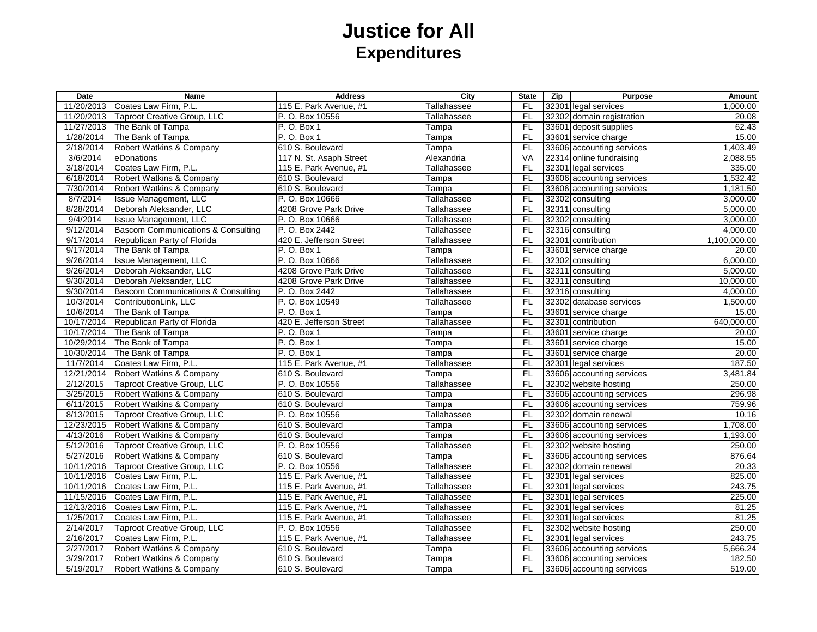## **Justice for All Expenditures**

| Date       | Name                                          | <b>Address</b>          | City                | <b>State</b> | Zip | <b>Purpose</b>            | Amount       |
|------------|-----------------------------------------------|-------------------------|---------------------|--------------|-----|---------------------------|--------------|
| 11/20/2013 | Coates Law Firm, P.L.                         | 115 E. Park Avenue, #1  | Tallahassee         | <b>FL</b>    |     | 32301 legal services      | 1,000.00     |
|            | 11/20/2013  Taproot Creative Group, LLC       | P. O. Box 10556         | Tallahassee         | FL           |     | 32302 domain registration | 20.08        |
|            | 11/27/2013 The Bank of Tampa                  | P. O. Box 1             | Tampa               | FL           |     | 33601 deposit supplies    | 62.43        |
| 1/28/2014  | The Bank of Tampa                             | P. O. Box 1             | Tampa               | FL           |     | 33601 service charge      | 15.00        |
| 2/18/2014  | Robert Watkins & Company                      | 610 S. Boulevard        | $\overline{T}$ ampa | <b>FL</b>    |     | 33606 accounting services | 1,403.49     |
| 3/6/2014   | eDonations                                    | 117 N. St. Asaph Street | Alexandria          | VA           |     | 22314 online fundraising  | 2,088.55     |
| 3/18/2014  | Coates Law Firm, P.L.                         | 115 E. Park Avenue, #1  | Tallahassee         | FL           |     | 32301 legal services      | 335.00       |
| 6/18/2014  | Robert Watkins & Company                      | 610 S. Boulevard        | Tampa               | FL           |     | 33606 accounting services | 1,532.42     |
| 7/30/2014  | Robert Watkins & Company                      | 610 S. Boulevard        | Tampa               | FL           |     | 33606 accounting services | 1,181.50     |
| 8/7/2014   | Issue Management, LLC                         | P. O. Box 10666         | Tallahassee         | FL           |     | 32302 consulting          | 3,000.00     |
| 8/28/2014  | Deborah Aleksander, LLC                       | 4208 Grove Park Drive   | Tallahassee         | FL           |     | 32311 consulting          | 5,000.00     |
| 9/4/2014   | <b>Issue Management, LLC</b>                  | P. O. Box 10666         | Tallahassee         | FL           |     | 32302 consulting          | 3,000.00     |
| 9/12/2014  | <b>Bascom Communications &amp; Consulting</b> | P. O. Box 2442          | Tallahassee         | FL           |     | 32316 consulting          | 4,000.00     |
| 9/17/2014  | Republican Party of Florida                   | 420 E. Jefferson Street | Tallahassee         | FL           |     | 32301 contribution        | 1,100,000.00 |
| 9/17/2014  | The Bank of Tampa                             | P. O. Box 1             | Tampa               | <b>FL</b>    |     | 33601 service charge      | 20.00        |
| 9/26/2014  | <b>Issue Management, LLC</b>                  | P. O. Box 10666         | Tallahassee         | FL           |     | 32302 consulting          | 6,000.00     |
| 9/26/2014  | Deborah Aleksander, LLC                       | 4208 Grove Park Drive   | Tallahassee         | <b>FL</b>    |     | 32311 consulting          | 5,000.00     |
| 9/30/2014  | Deborah Aleksander, LLC                       | 4208 Grove Park Drive   | Tallahassee         | FL           |     | 32311 consulting          | 10,000.00    |
| 9/30/2014  | Bascom Communications & Consulting            | P. O. Box 2442          | Tallahassee         | FL           |     | 32316 consulting          | 4,000.00     |
| 10/3/2014  | ContributionLink, LLC                         | P. O. Box 10549         | Tallahassee         | FL           |     | 32302 database services   | 1,500.00     |
| 10/6/2014  | The Bank of Tampa                             | P. O. Box 1             | Tampa               | <b>FL</b>    |     | 33601 service charge      | 15.00        |
|            | 10/17/2014 Republican Party of Florida        | 420 E. Jefferson Street | Tallahassee         | FL           |     | 32301 contribution        | 640,000.00   |
| 10/17/2014 | The Bank of Tampa                             | P. O. Box 1             | Tampa               | $F$ L        |     | 33601 service charge      | 20.00        |
| 10/29/2014 | The Bank of Tampa                             | P. O. Box 1             | Tampa               | FL           |     | 33601 service charge      | 15.00        |
|            | 10/30/2014 The Bank of Tampa                  | P. O. Box 1             | Tampa               | FL           |     | 33601 service charge      | 20.00        |
| 11/7/2014  | Coates Law Firm, P.L.                         | 115 E. Park Avenue, #1  | Tallahassee         | <b>FL</b>    |     | 32301 legal services      | 187.50       |
|            | 12/21/2014 Robert Watkins & Company           | 610 S. Boulevard        | Tampa               | FL           |     | 33606 accounting services | 3,481.84     |
| 2/12/2015  | Taproot Creative Group, LLC                   | P. O. Box 10556         | Tallahassee         | FL           |     | 32302 website hosting     | 250.00       |
| 3/25/2015  | Robert Watkins & Company                      | 610 S. Boulevard        | <b>Tampa</b>        | FL           |     | 33606 accounting services | 296.98       |
| 6/11/2015  | Robert Watkins & Company                      | 610 S. Boulevard        | Tampa               | FL           |     | 33606 accounting services | 759.96       |
| 8/13/2015  | Taproot Creative Group, LLC                   | P. O. Box 10556         | Tallahassee         | FL           |     | 32302 domain renewal      | 10.16        |
|            | 12/23/2015 Robert Watkins & Company           | 610 S. Boulevard        | Tampa               | FL           |     | 33606 accounting services | 1,708.00     |
| 4/13/2016  | Robert Watkins & Company                      | 610 S. Boulevard        | Tampa               | FL.          |     | 33606 accounting services | 1,193.00     |
| 5/12/2016  | Taproot Creative Group, LLC                   | P. O. Box 10556         | Tallahassee         | FL           |     | 32302 website hosting     | 250.00       |
| 5/27/2016  | Robert Watkins & Company                      | 610 S. Boulevard        | Tampa               | FL           |     | 33606 accounting services | 876.64       |
| 10/11/2016 | Taproot Creative Group, LLC                   | P. O. Box 10556         | Tallahassee         | FL           |     | 32302 domain renewal      | 20.33        |
| 10/11/2016 | Coates Law Firm, P.L.                         | 115 E. Park Avenue, #1  | Tallahassee         | FL           |     | 32301 legal services      | 825.00       |
| 10/11/2016 | Coates Law Firm, P.L.                         | 115 E. Park Avenue, #1  | Tallahassee         | <b>FL</b>    |     | 32301 legal services      | 243.75       |
| 11/15/2016 | Coates Law Firm, P.L.                         | 115 E. Park Avenue, #1  | Tallahassee         | FL           |     | 32301 legal services      | 225.00       |
| 12/13/2016 | Coates Law Firm, P.L.                         | 115 E. Park Avenue, #1  | Tallahassee         | FL           |     | 32301 legal services      | 81.25        |
| 1/25/2017  | Coates Law Firm, P.L.                         | 115 E. Park Avenue, #1  | Tallahassee         | FL           |     | 32301 legal services      | 81.25        |
| 2/14/2017  | Taproot Creative Group, LLC                   | P. O. Box 10556         | Tallahassee         | FL           |     | 32302 website hosting     | 250.00       |
| 2/16/2017  | Coates Law Firm, P.L.                         | 115 E. Park Avenue, #1  | Tallahassee         | FL           |     | 32301 legal services      | 243.75       |
| 2/27/2017  | Robert Watkins & Company                      | 610 S. Boulevard        | Tampa               | <b>FL</b>    |     | 33606 accounting services | 5,666.24     |
| 3/29/2017  | Robert Watkins & Company                      | 610 S. Boulevard        | Tampa               | $F$ L        |     | 33606 accounting services | 182.50       |
| 5/19/2017  | Robert Watkins & Company                      | 610 S. Boulevard        | Tampa               | FL           |     | 33606 accounting services | 519.00       |